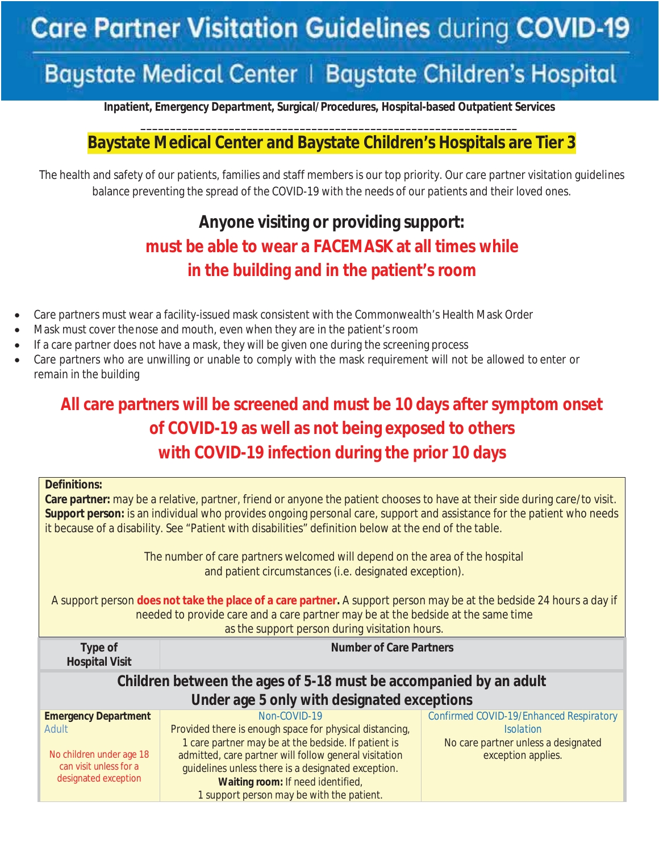# **Care Partner Visitation Guidelines during COVID-19**

## **Baystate Medical Center | Baystate Children's Hospital**

**Inpatient, Emergency Department, Surgical/Procedures, Hospital-based Outpatient Services** 

#### **\_\_\_\_\_\_\_\_\_\_\_\_\_\_\_\_\_\_\_\_\_\_\_\_\_\_\_\_\_\_\_\_\_\_\_\_\_\_\_\_\_\_\_\_\_\_\_\_\_\_\_\_\_\_\_\_\_\_\_\_\_\_\_\_ Baystate Medical Center and Baystate Children's Hospitals are Tier 3**

The health and safety of our patients, families and staff members is our top priority. Our care partner visitation guidelines balance preventing the spread of the COVID-19 with the needs of our patients and their loved ones.

## **Anyone visiting or providing support: must be able to wear a FACEMASK at all times while in the building and in the patient's room**

- Care partners must wear a facility-issued mask consistent with the Commonwealth's Health Mask Order
- Mask must cover the nose and mouth, even when they are in the patient's room
- If a care partner does not have a mask, they will be given one during the screening process
- Care partners who are unwilling or unable to comply with the mask requirement will not be allowed to enter or remain in the building

## **All care partners will be screened and must be 10 days after symptom onset of COVID-19 as well as not being exposed to others with COVID-19 infection during the prior 10 days**

| <b>Definitions:</b><br>Care partner: may be a relative, partner, friend or anyone the patient chooses to have at their side during care/to visit.<br>Support person: is an individual who provides ongoing personal care, support and assistance for the patient who needs<br>it because of a disability. See "Patient with disabilities" definition below at the end of the table. |                                                                   |  |  |  |
|-------------------------------------------------------------------------------------------------------------------------------------------------------------------------------------------------------------------------------------------------------------------------------------------------------------------------------------------------------------------------------------|-------------------------------------------------------------------|--|--|--|
| The number of care partners welcomed will depend on the area of the hospital<br>and patient circumstances (i.e. designated exception).                                                                                                                                                                                                                                              |                                                                   |  |  |  |
| A support person does not take the place of a care partner. A support person may be at the bedside 24 hours a day if<br>needed to provide care and a care partner may be at the bedside at the same time<br>as the support person during visitation hours.                                                                                                                          |                                                                   |  |  |  |
|                                                                                                                                                                                                                                                                                                                                                                                     | <b>Number of Care Partners</b>                                    |  |  |  |
| Type of<br><b>Hospital Visit</b>                                                                                                                                                                                                                                                                                                                                                    |                                                                   |  |  |  |
|                                                                                                                                                                                                                                                                                                                                                                                     | Children between the ages of 5-18 must be accompanied by an adult |  |  |  |
|                                                                                                                                                                                                                                                                                                                                                                                     | Under age 5 only with designated exceptions                       |  |  |  |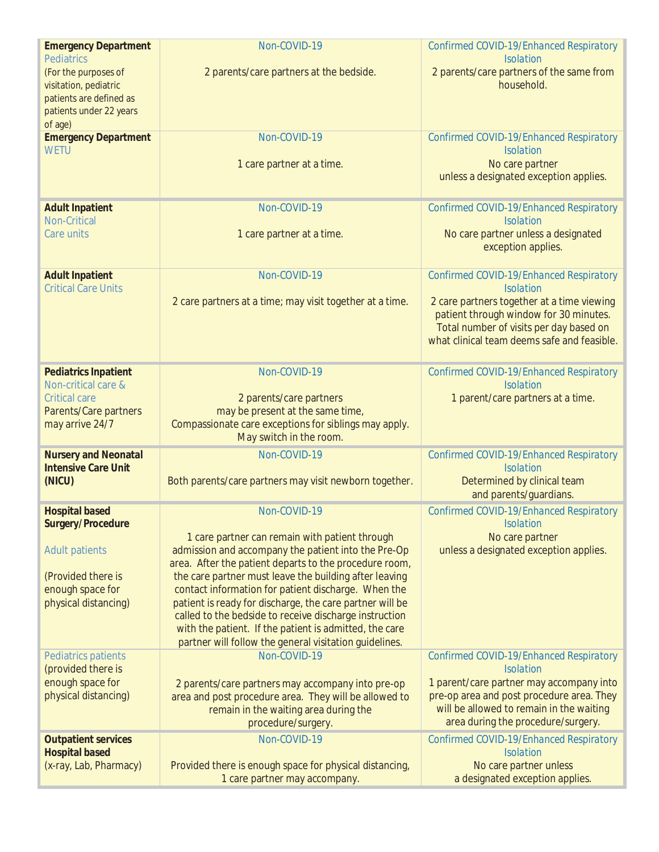| <b>Emergency Department</b><br><b>Pediatrics</b>          | Non-COVID-19                                                                                                     | Confirmed COVID-19/Enhanced Respiratory                                           |
|-----------------------------------------------------------|------------------------------------------------------------------------------------------------------------------|-----------------------------------------------------------------------------------|
| (For the purposes of                                      | 2 parents/care partners at the bedside.                                                                          | <b>Isolation</b><br>2 parents/care partners of the same from                      |
| visitation, pediatric                                     |                                                                                                                  | household.                                                                        |
| patients are defined as<br>patients under 22 years        |                                                                                                                  |                                                                                   |
| of age)                                                   |                                                                                                                  |                                                                                   |
| <b>Emergency Department</b><br><b>WETU</b>                | Non-COVID-19                                                                                                     | Confirmed COVID-19/Enhanced Respiratory<br><b>Isolation</b>                       |
|                                                           | 1 care partner at a time.                                                                                        | No care partner                                                                   |
|                                                           |                                                                                                                  | unless a designated exception applies.                                            |
| <b>Adult Inpatient</b><br><b>Non-Critical</b>             | Non-COVID-19                                                                                                     | Confirmed COVID-19/Enhanced Respiratory<br><b>Isolation</b>                       |
| Care units                                                | 1 care partner at a time.                                                                                        | No care partner unless a designated<br>exception applies.                         |
| <b>Adult Inpatient</b><br><b>Critical Care Units</b>      | Non-COVID-19                                                                                                     | Confirmed COVID-19/Enhanced Respiratory<br><b>Isolation</b>                       |
|                                                           | 2 care partners at a time; may visit together at a time.                                                         | 2 care partners together at a time viewing                                        |
|                                                           |                                                                                                                  | patient through window for 30 minutes.<br>Total number of visits per day based on |
|                                                           |                                                                                                                  | what clinical team deems safe and feasible.                                       |
| <b>Pediatrics Inpatient</b>                               | Non-COVID-19                                                                                                     | Confirmed COVID-19/Enhanced Respiratory                                           |
| Non-critical care &<br><b>Critical care</b>               | 2 parents/care partners                                                                                          | <b>Isolation</b><br>1 parent/care partners at a time.                             |
| Parents/Care partners                                     | may be present at the same time,                                                                                 |                                                                                   |
| may arrive 24/7                                           | Compassionate care exceptions for siblings may apply.<br>May switch in the room.                                 |                                                                                   |
| <b>Nursery and Neonatal</b><br><b>Intensive Care Unit</b> | Non-COVID-19                                                                                                     | Confirmed COVID-19/Enhanced Respiratory<br><b>Isolation</b>                       |
| (NICU)                                                    | Both parents/care partners may visit newborn together.                                                           | Determined by clinical team                                                       |
|                                                           |                                                                                                                  | and parents/guardians.                                                            |
| <b>Hospital based</b><br>Surgery/Procedure                | Non-COVID-19                                                                                                     | Confirmed COVID-19/Enhanced Respiratory<br><b>Isolation</b>                       |
| <b>Adult patients</b>                                     | 1 care partner can remain with patient through<br>admission and accompany the patient into the Pre-Op            | No care partner<br>unless a designated exception applies.                         |
|                                                           | area. After the patient departs to the procedure room,                                                           |                                                                                   |
| (Provided there is<br>enough space for                    | the care partner must leave the building after leaving<br>contact information for patient discharge. When the    |                                                                                   |
| physical distancing)                                      | patient is ready for discharge, the care partner will be                                                         |                                                                                   |
|                                                           | called to the bedside to receive discharge instruction                                                           |                                                                                   |
|                                                           | with the patient. If the patient is admitted, the care<br>partner will follow the general visitation guidelines. |                                                                                   |
| Pediatrics patients                                       | Non-COVID-19                                                                                                     | Confirmed COVID-19/Enhanced Respiratory                                           |
| (provided there is<br>enough space for                    | 2 parents/care partners may accompany into pre-op                                                                | <b>Isolation</b><br>1 parent/care partner may accompany into                      |
| physical distancing)                                      | area and post procedure area. They will be allowed to                                                            | pre-op area and post procedure area. They                                         |
|                                                           | remain in the waiting area during the                                                                            | will be allowed to remain in the waiting<br>area during the procedure/surgery.    |
| <b>Outpatient services</b>                                | procedure/surgery.<br>Non-COVID-19                                                                               | Confirmed COVID-19/Enhanced Respiratory                                           |
| <b>Hospital based</b>                                     |                                                                                                                  | <b>Isolation</b>                                                                  |
| (x-ray, Lab, Pharmacy)                                    | Provided there is enough space for physical distancing,                                                          | No care partner unless                                                            |
|                                                           | 1 care partner may accompany.                                                                                    | a designated exception applies.                                                   |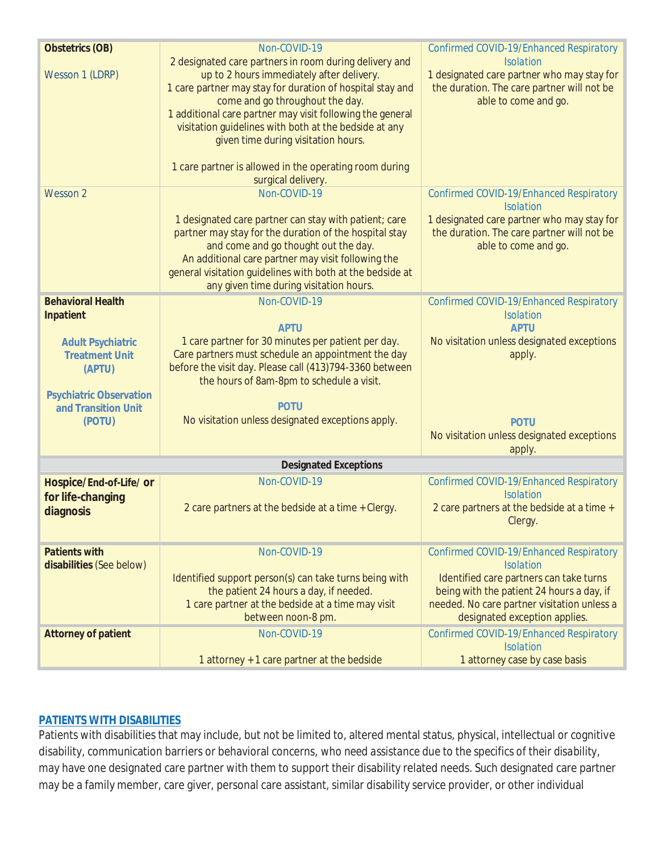| <b>Obstetrics (OB)</b>                                                                                               | Non-COVID-19                                                                                                                                                                                                                                                                                                                                                                                                                                     | Confirmed COVID-19/Enhanced Respiratory                                                                                                             |  |  |
|----------------------------------------------------------------------------------------------------------------------|--------------------------------------------------------------------------------------------------------------------------------------------------------------------------------------------------------------------------------------------------------------------------------------------------------------------------------------------------------------------------------------------------------------------------------------------------|-----------------------------------------------------------------------------------------------------------------------------------------------------|--|--|
| Wesson 1 (LDRP)                                                                                                      | 2 designated care partners in room during delivery and<br>up to 2 hours immediately after delivery.<br>1 care partner may stay for duration of hospital stay and<br>come and go throughout the day.<br>1 additional care partner may visit following the general<br>visitation guidelines with both at the bedside at any<br>given time during visitation hours.<br>1 care partner is allowed in the operating room during<br>surgical delivery. | <b>Isolation</b><br>1 designated care partner who may stay for<br>the duration. The care partner will not be<br>able to come and go.                |  |  |
| Wesson 2                                                                                                             | Non-COVID-19                                                                                                                                                                                                                                                                                                                                                                                                                                     | Confirmed COVID-19/Enhanced Respiratory                                                                                                             |  |  |
|                                                                                                                      | 1 designated care partner can stay with patient; care<br>partner may stay for the duration of the hospital stay<br>and come and go thought out the day.<br>An additional care partner may visit following the<br>general visitation guidelines with both at the bedside at<br>any given time during visitation hours.                                                                                                                            | <b>Isolation</b><br>1 designated care partner who may stay for<br>the duration. The care partner will not be<br>able to come and go.                |  |  |
| <b>Behavioral Health</b>                                                                                             | Non-COVID-19                                                                                                                                                                                                                                                                                                                                                                                                                                     | Confirmed COVID-19/Enhanced Respiratory                                                                                                             |  |  |
| Inpatient                                                                                                            | <b>APTU</b>                                                                                                                                                                                                                                                                                                                                                                                                                                      | <b>Isolation</b><br><b>APTU</b>                                                                                                                     |  |  |
| <b>Adult Psychiatric</b><br><b>Treatment Unit</b><br>(APTU)<br><b>Psychiatric Observation</b><br>and Transition Unit | 1 care partner for 30 minutes per patient per day.<br>Care partners must schedule an appointment the day<br>before the visit day. Please call (413)794-3360 between<br>the hours of 8am-8pm to schedule a visit.<br><b>POTU</b>                                                                                                                                                                                                                  | No visitation unless designated exceptions<br>apply.                                                                                                |  |  |
| (POTU)                                                                                                               | No visitation unless designated exceptions apply.                                                                                                                                                                                                                                                                                                                                                                                                | <b>POTU</b><br>No visitation unless designated exceptions<br>apply.                                                                                 |  |  |
| <b>Designated Exceptions</b>                                                                                         |                                                                                                                                                                                                                                                                                                                                                                                                                                                  |                                                                                                                                                     |  |  |
| Hospice/End-of-Life/ or<br>for life-changing<br>diagnosis                                                            | Non-COVID-19<br>2 care partners at the bedside at a time + Clergy.                                                                                                                                                                                                                                                                                                                                                                               | Confirmed COVID-19/Enhanced Respiratory<br><b>Isolation</b><br>2 care partners at the bedside at a time +<br>Clergy.                                |  |  |
| <b>Patients with</b><br>disabilities (See below)                                                                     | Non-COVID-19<br>Identified support person(s) can take turns being with<br>the patient 24 hours a day, if needed.                                                                                                                                                                                                                                                                                                                                 | Confirmed COVID-19/Enhanced Respiratory<br><b>Isolation</b><br>Identified care partners can take turns<br>being with the patient 24 hours a day, if |  |  |
|                                                                                                                      | 1 care partner at the bedside at a time may visit<br>between noon-8 pm.                                                                                                                                                                                                                                                                                                                                                                          | needed. No care partner visitation unless a<br>designated exception applies.                                                                        |  |  |
| <b>Attorney of patient</b>                                                                                           | Non-COVID-19                                                                                                                                                                                                                                                                                                                                                                                                                                     | Confirmed COVID-19/Enhanced Respiratory<br><b>Isolation</b>                                                                                         |  |  |
|                                                                                                                      | 1 attorney + 1 care partner at the bedside                                                                                                                                                                                                                                                                                                                                                                                                       | 1 attorney case by case basis                                                                                                                       |  |  |

#### **PATIENTS WITH DISABILITIES**

Patients with disabilities that may include, but not be limited to, altered mental status, physical, intellectual or cognitive disability, communication barriers or behavioral concerns, *who need assistance due to the specifics of their disability*, may have one designated care partner with them to support their disability related needs. Such designated care partner may be a family member, care giver, personal care assistant, similar disability service provider, or other individual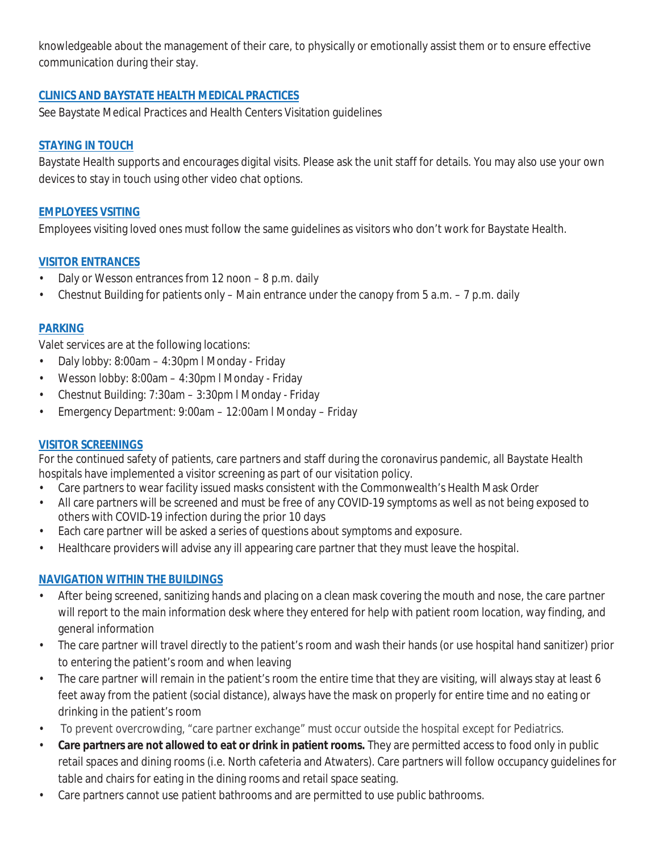knowledgeable about the management of their care, to physically or emotionally assist them or to ensure effective communication during their stay.

#### **CLINICS AND BAYSTATE HEALTH MEDICAL PRACTICES**

See Baystate Medical Practices and Health Centers Visitation guidelines

#### **STAYING IN TOUCH**

Baystate Health supports and encourages digital visits. Please ask the unit staff for details. You may also use your own devices to stay in touch using other video chat options.

#### **EMPLOYEES VSITING**

Employees visiting loved ones must follow the same guidelines as visitors who don't work for Baystate Health.

#### **VISITOR ENTRANCES**

- Daly or Wesson entrances from 12 noon 8 p.m. daily
- Chestnut Building for patients only Main entrance under the canopy from 5 a.m. 7 p.m. daily

#### **PARKING**

Valet services are at the following locations:

- Daly lobby: 8:00am 4:30pm l Monday Friday
- Wesson lobby: 8:00am 4:30pm l Monday Friday
- Chestnut Building: 7:30am 3:30pm l Monday Friday
- Emergency Department: 9:00am 12:00am l Monday Friday

#### **VISITOR SCREENINGS**

For the continued safety of patients, care partners and staff during the coronavirus pandemic, all Baystate Health hospitals have implemented a visitor screening as part of our visitation policy.

- Care partners to wear facility issued masks consistent with the Commonwealth's Health Mask Order
- All care partners will be screened and must be free of any COVID-19 symptoms as well as not being exposed to others with COVID-19 infection during the prior 10 days
- Each care partner will be asked a series of questions about symptoms and exposure.
- Healthcare providers will advise any ill appearing care partner that they must leave the hospital.

#### **NAVIGATION WITHIN THE BUILDINGS**

- After being screened, sanitizing hands and placing on a clean mask covering the mouth and nose, the care partner will report to the main information desk where they entered for help with patient room location, way finding, and general information
- The care partner will travel directly to the patient's room and wash their hands (or use hospital hand sanitizer) prior to entering the patient's room and when leaving
- The care partner will remain in the patient's room the entire time that they are visiting, will always stay at least 6 feet away from the patient (social distance), always have the mask on properly for entire time and no eating or drinking in the patient's room
- To prevent overcrowding, "care partner exchange" must occur outside the hospital except for Pediatrics.
- **Care partners are not allowed to eat or drink in patient rooms.** They are permitted access to food only in public retail spaces and dining rooms (i.e. North cafeteria and Atwaters). Care partners will follow occupancy guidelines for table and chairs for eating in the dining rooms and retail space seating.
- Care partners cannot use patient bathrooms and are permitted to use public bathrooms.